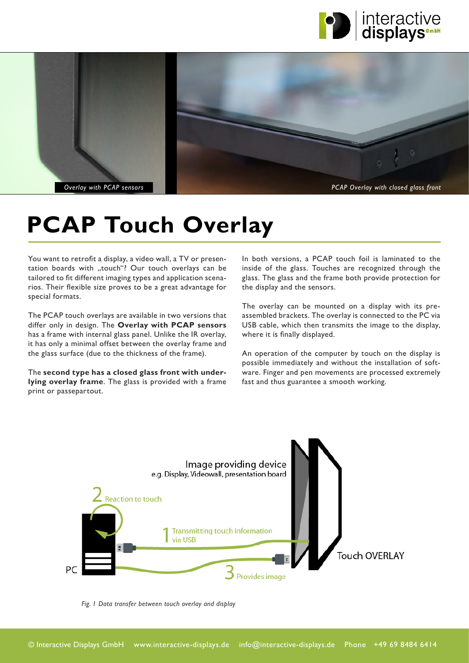



# **[PCAP Touch Overlay](https://www.interactive-displays.de/en/portfolio/touch-overlays/)**

You want to retrofit a display, a video wall, a TV or presentation boards with "touch"? Our touch overlays can be tailored to fit different imaging types and application scenarios. Their flexible size proves to be a great advantage for special formats.

The PCAP touch overlays are available in two versions that differ only in design. The **Overlay with PCAP sensors**  has a frame with internal glass panel. Unlike the IR overlay, it has only a minimal offset between the overlay frame and the glass surface (due to the thickness of the frame).

The **second type has a closed glass front with underlying overlay frame**. The glass is provided with a frame print or passepartout.

In both versions, a PCAP touch foil is laminated to the inside of the glass. Touches are recognized through the glass. The glass and the frame both provide protection for the display and the sensors.

The overlay can be mounted on a display with its preassembled brackets. The overlay is connected to the PC via USB cable, which then transmits the image to the display, where it is finally displayed.

An operation of the computer by touch on the display is possible immediately and without the installation of software. Finger and pen movements are processed extremely fast and thus guarantee a smooth working.



*Fig. 1 Data transfer between touch overlay and display*